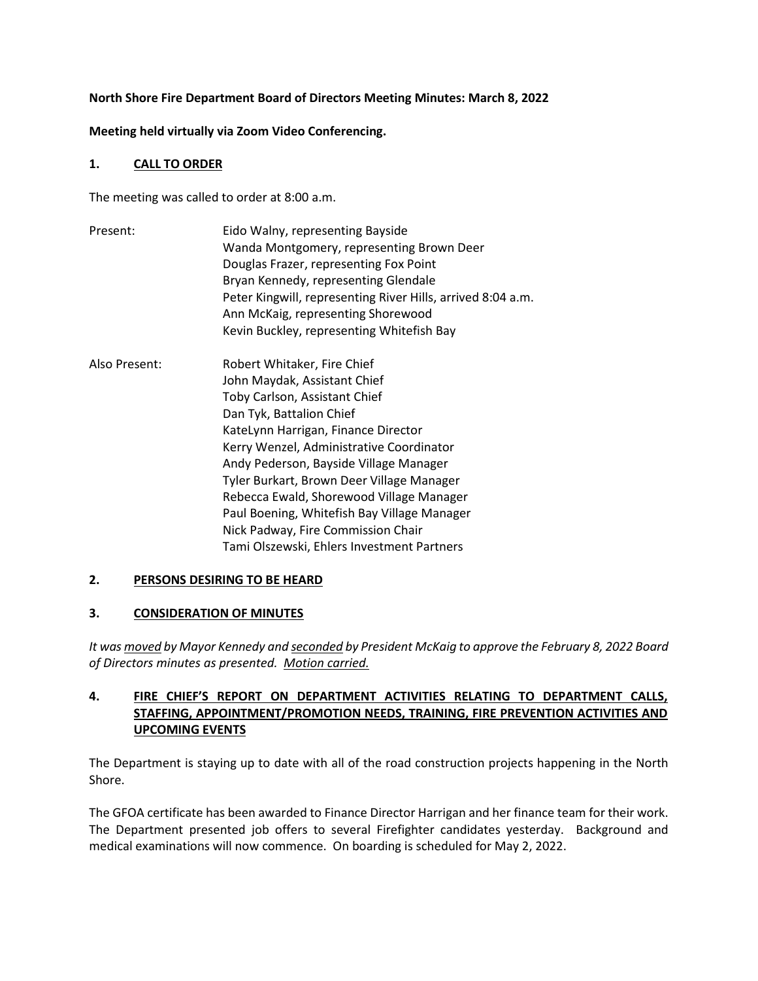### **North Shore Fire Department Board of Directors Meeting Minutes: March 8, 2022**

#### **Meeting held virtually via Zoom Video Conferencing.**

#### **1. CALL TO ORDER**

The meeting was called to order at 8:00 a.m.

| Present:      | Eido Walny, representing Bayside<br>Wanda Montgomery, representing Brown Deer<br>Douglas Frazer, representing Fox Point<br>Bryan Kennedy, representing Glendale |
|---------------|-----------------------------------------------------------------------------------------------------------------------------------------------------------------|
|               | Peter Kingwill, representing River Hills, arrived 8:04 a.m.<br>Ann McKaig, representing Shorewood<br>Kevin Buckley, representing Whitefish Bay                  |
|               |                                                                                                                                                                 |
| Also Present: | Robert Whitaker, Fire Chief                                                                                                                                     |
|               | John Maydak, Assistant Chief                                                                                                                                    |
|               | Toby Carlson, Assistant Chief                                                                                                                                   |
|               | Dan Tyk, Battalion Chief                                                                                                                                        |
|               | KateLynn Harrigan, Finance Director                                                                                                                             |
|               | Kerry Wenzel, Administrative Coordinator                                                                                                                        |
|               | Andy Pederson, Bayside Village Manager                                                                                                                          |
|               | Tyler Burkart, Brown Deer Village Manager                                                                                                                       |
|               | Rebecca Ewald, Shorewood Village Manager                                                                                                                        |
|               | Paul Boening, Whitefish Bay Village Manager                                                                                                                     |
|               | Nick Padway, Fire Commission Chair                                                                                                                              |
|               | Tami Olszewski, Ehlers Investment Partners                                                                                                                      |

## **2. PERSONS DESIRING TO BE HEARD**

#### **3. CONSIDERATION OF MINUTES**

*It was moved by Mayor Kennedy and seconded by President McKaig to approve the February 8, 2022 Board of Directors minutes as presented. Motion carried.* 

## **4. FIRE CHIEF'S REPORT ON DEPARTMENT ACTIVITIES RELATING TO DEPARTMENT CALLS, STAFFING, APPOINTMENT/PROMOTION NEEDS, TRAINING, FIRE PREVENTION ACTIVITIES AND UPCOMING EVENTS**

The Department is staying up to date with all of the road construction projects happening in the North Shore.

The GFOA certificate has been awarded to Finance Director Harrigan and her finance team for their work. The Department presented job offers to several Firefighter candidates yesterday. Background and medical examinations will now commence. On boarding is scheduled for May 2, 2022.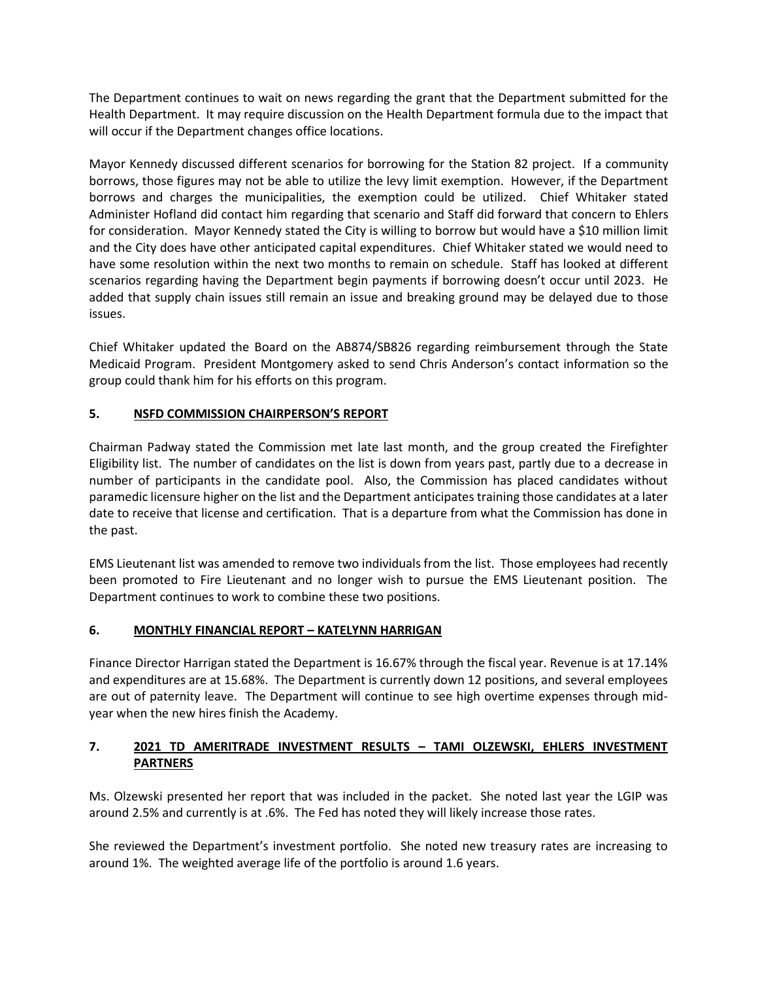The Department continues to wait on news regarding the grant that the Department submitted for the Health Department. It may require discussion on the Health Department formula due to the impact that will occur if the Department changes office locations.

Mayor Kennedy discussed different scenarios for borrowing for the Station 82 project. If a community borrows, those figures may not be able to utilize the levy limit exemption. However, if the Department borrows and charges the municipalities, the exemption could be utilized. Chief Whitaker stated Administer Hofland did contact him regarding that scenario and Staff did forward that concern to Ehlers for consideration. Mayor Kennedy stated the City is willing to borrow but would have a \$10 million limit and the City does have other anticipated capital expenditures. Chief Whitaker stated we would need to have some resolution within the next two months to remain on schedule. Staff has looked at different scenarios regarding having the Department begin payments if borrowing doesn't occur until 2023. He added that supply chain issues still remain an issue and breaking ground may be delayed due to those issues.

Chief Whitaker updated the Board on the AB874/SB826 regarding reimbursement through the State Medicaid Program. President Montgomery asked to send Chris Anderson's contact information so the group could thank him for his efforts on this program.

## **5. NSFD COMMISSION CHAIRPERSON'S REPORT**

Chairman Padway stated the Commission met late last month, and the group created the Firefighter Eligibility list. The number of candidates on the list is down from years past, partly due to a decrease in number of participants in the candidate pool. Also, the Commission has placed candidates without paramedic licensure higher on the list and the Department anticipates training those candidates at a later date to receive that license and certification. That is a departure from what the Commission has done in the past.

EMS Lieutenant list was amended to remove two individuals from the list. Those employees had recently been promoted to Fire Lieutenant and no longer wish to pursue the EMS Lieutenant position. The Department continues to work to combine these two positions.

## **6. MONTHLY FINANCIAL REPORT – KATELYNN HARRIGAN**

Finance Director Harrigan stated the Department is 16.67% through the fiscal year. Revenue is at 17.14% and expenditures are at 15.68%. The Department is currently down 12 positions, and several employees are out of paternity leave. The Department will continue to see high overtime expenses through midyear when the new hires finish the Academy.

# **7. 2021 TD AMERITRADE INVESTMENT RESULTS – TAMI OLZEWSKI, EHLERS INVESTMENT PARTNERS**

Ms. Olzewski presented her report that was included in the packet. She noted last year the LGIP was around 2.5% and currently is at .6%. The Fed has noted they will likely increase those rates.

She reviewed the Department's investment portfolio. She noted new treasury rates are increasing to around 1%. The weighted average life of the portfolio is around 1.6 years.